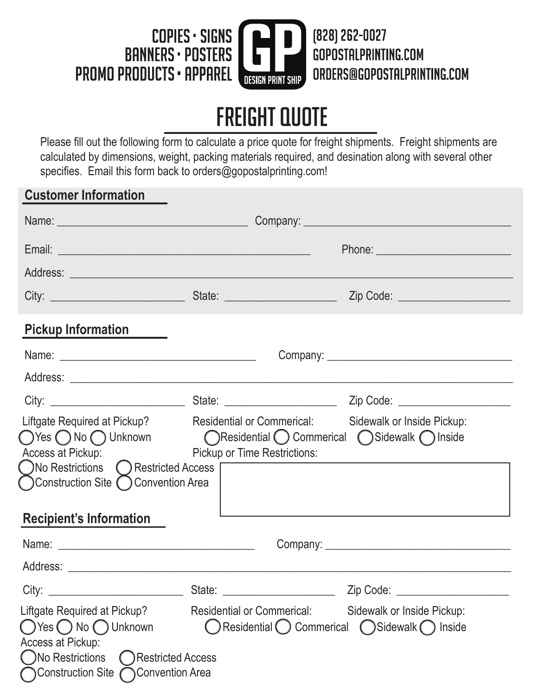

## Freight Quote

Please fill out the following form to calculate a price quote for freight shipments. Freight shipments are calculated by dimensions, weight, packing materials required, and desination along with several other specifies. Email this form back to orders@gopostalprinting.com!

## **Customer Information** Name: \_\_\_\_\_\_\_\_\_\_\_\_\_\_\_\_\_\_\_\_\_\_\_\_\_\_\_\_\_\_\_\_\_\_ Company: \_\_\_\_\_\_\_\_\_\_\_\_\_\_\_\_\_\_\_\_\_\_\_\_\_\_\_\_\_\_\_\_\_\_\_\_\_ Email: \_\_\_\_\_\_\_\_\_\_\_\_\_\_\_\_\_\_\_\_\_\_\_\_\_\_\_\_\_\_\_\_\_\_\_\_\_\_\_\_\_\_\_\_\_ Phone: \_\_\_\_\_\_\_\_\_\_\_\_\_\_\_\_\_\_\_\_\_\_\_\_ Address: \_\_\_\_\_\_\_\_\_\_\_\_\_\_\_\_\_\_\_\_\_\_\_\_\_\_\_\_\_\_\_\_\_\_\_\_\_\_\_\_\_\_\_\_\_\_\_\_\_\_\_\_\_\_\_\_\_\_\_\_\_\_\_\_\_\_\_\_\_\_\_\_\_\_\_\_\_\_\_ City: \_\_\_\_\_\_\_\_\_\_\_\_\_\_\_\_\_\_\_\_\_\_\_\_ State: \_\_\_\_\_\_\_\_\_\_\_\_\_\_\_\_\_\_\_\_ Zip Code: \_\_\_\_\_\_\_\_\_\_\_\_\_\_\_\_\_\_\_\_ **Pickup Information** Name: \_\_\_\_\_\_\_\_\_\_\_\_\_\_\_\_\_\_\_\_\_\_\_\_\_\_\_\_\_\_\_\_\_\_\_ Company: \_\_\_\_\_\_\_\_\_\_\_\_\_\_\_\_\_\_\_\_\_\_\_\_\_\_\_\_\_\_\_\_\_ Address: City: \_\_\_\_\_\_\_\_\_\_\_\_\_\_\_\_\_\_\_\_\_\_\_\_ State: \_\_\_\_\_\_\_\_\_\_\_\_\_\_\_\_\_\_\_\_ Zip Code: \_\_\_\_\_\_\_\_\_\_\_\_\_\_\_\_\_\_\_\_ Liftgate Required at Pickup? Residential or Commerical: Sidewalk or Inside Pickup: Access at Pickup: Pickup or Time Restrictions: **Recipient's Information** Name: \_\_\_\_\_\_\_\_\_\_\_\_\_\_\_\_\_\_\_\_\_\_\_\_\_\_\_\_\_\_\_\_\_\_\_ Company: \_\_\_\_\_\_\_\_\_\_\_\_\_\_\_\_\_\_\_\_\_\_\_\_\_\_\_\_\_\_\_\_\_ Address: \_\_\_\_\_\_\_\_\_\_\_\_\_\_\_\_\_\_\_\_\_\_\_\_\_\_\_\_\_\_\_\_\_\_\_\_\_\_\_\_\_\_\_\_\_\_\_\_\_\_\_\_\_\_\_\_\_\_\_\_\_\_\_\_\_\_\_\_\_\_\_\_\_\_\_\_\_\_\_ City: \_\_\_\_\_\_\_\_\_\_\_\_\_\_\_\_\_\_\_\_\_\_\_\_ State: \_\_\_\_\_\_\_\_\_\_\_\_\_\_\_\_\_\_\_\_ Zip Code: \_\_\_\_\_\_\_\_\_\_\_\_\_\_\_\_\_\_\_\_ Liftgate Required at Pickup? Residential or Commerical: Sidewalk or Inside Pickup: Access at Pickup: Yes O No O Unknown **Confluential Commerical C** Sidewalk C Inside (Calculated Access) No Restricted Access Construction Site C Convention Area  $\bigcap$  Yes  $\bigcap$  No  $\bigcap$  Unknown  $\bigcap$  Residential  $\bigcap$  Commerical  $\bigcap$  Sidewalk  $\bigcap$  Inside ◯No Restrictions ◯ Restricted Access Construction Site Convention Area